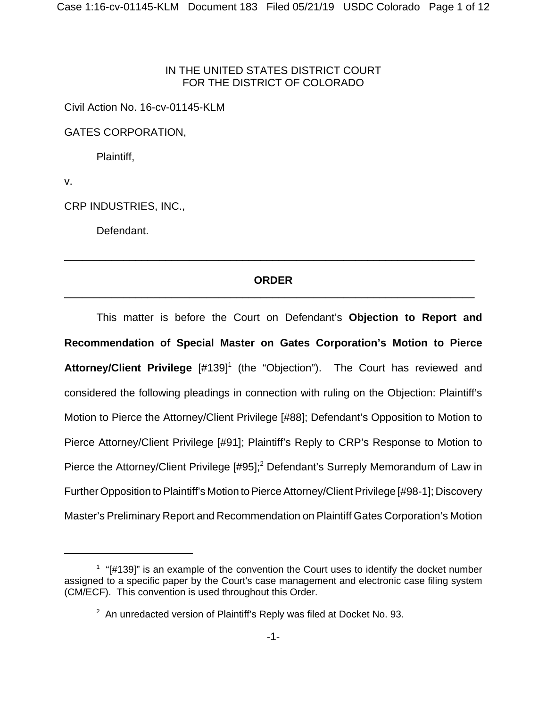## IN THE UNITED STATES DISTRICT COURT FOR THE DISTRICT OF COLORADO

Civil Action No. 16-cv-01145-KLM

GATES CORPORATION,

Plaintiff,

v.

CRP INDUSTRIES, INC.,

Defendant.

# **ORDER** \_\_\_\_\_\_\_\_\_\_\_\_\_\_\_\_\_\_\_\_\_\_\_\_\_\_\_\_\_\_\_\_\_\_\_\_\_\_\_\_\_\_\_\_\_\_\_\_\_\_\_\_\_\_\_\_\_\_\_\_\_\_\_\_\_\_\_\_\_

\_\_\_\_\_\_\_\_\_\_\_\_\_\_\_\_\_\_\_\_\_\_\_\_\_\_\_\_\_\_\_\_\_\_\_\_\_\_\_\_\_\_\_\_\_\_\_\_\_\_\_\_\_\_\_\_\_\_\_\_\_\_\_\_\_\_\_\_\_

This matter is before the Court on Defendant's **Objection to Report and Recommendation of Special Master on Gates Corporation's Motion to Pierce** Attorney/Client Privilege [#139]<sup>1</sup> (the "Objection"). The Court has reviewed and considered the following pleadings in connection with ruling on the Objection: Plaintiff's Motion to Pierce the Attorney/Client Privilege [#88]; Defendant's Opposition to Motion to Pierce Attorney/Client Privilege [#91]; Plaintiff's Reply to CRP's Response to Motion to Pierce the Attorney/Client Privilege [#95];<sup>2</sup> Defendant's Surreply Memorandum of Law in Further Opposition to Plaintiff's Motion to Pierce Attorney/Client Privilege [#98-1]; Discovery Master's Preliminary Report and Recommendation on Plaintiff Gates Corporation's Motion

 $1$  "[#139]" is an example of the convention the Court uses to identify the docket number assigned to a specific paper by the Court's case management and electronic case filing system (CM/ECF). This convention is used throughout this Order.

 $2$  An unredacted version of Plaintiff's Reply was filed at Docket No. 93.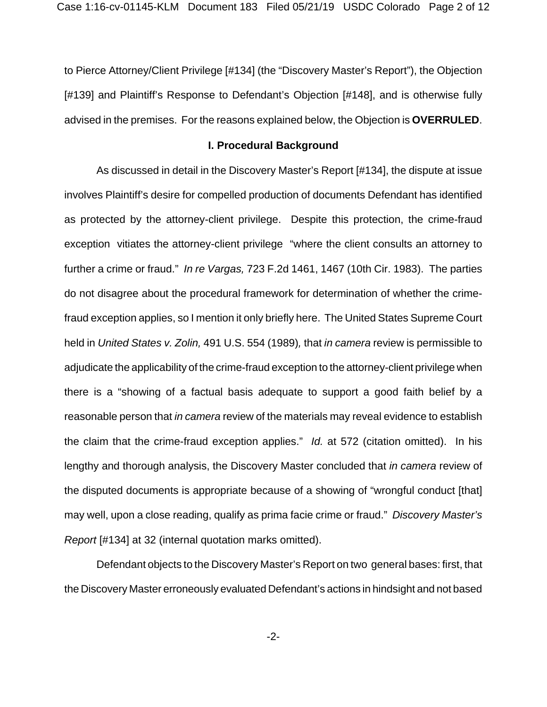to Pierce Attorney/Client Privilege [#134] (the "Discovery Master's Report"), the Objection [#139] and Plaintiff's Response to Defendant's Objection [#148], and is otherwise fully advised in the premises. For the reasons explained below, the Objection is **OVERRULED**.

### **I. Procedural Background**

As discussed in detail in the Discovery Master's Report [#134], the dispute at issue involves Plaintiff's desire for compelled production of documents Defendant has identified as protected by the attorney-client privilege. Despite this protection, the crime-fraud exception vitiates the attorney-client privilege "where the client consults an attorney to further a crime or fraud." *In re Vargas,* 723 F.2d 1461, 1467 (10th Cir. 1983). The parties do not disagree about the procedural framework for determination of whether the crimefraud exception applies, so I mention it only briefly here. The United States Supreme Court held in *United States v. Zolin,* 491 U.S. 554 (1989)*,* that *in camera* review is permissible to adjudicate the applicability of the crime-fraud exception to the attorney-client privilege when there is a "showing of a factual basis adequate to support a good faith belief by a reasonable person that *in camera* review of the materials may reveal evidence to establish the claim that the crime-fraud exception applies." *Id.* at 572 (citation omitted). In his lengthy and thorough analysis, the Discovery Master concluded that *in camera* review of the disputed documents is appropriate because of a showing of "wrongful conduct [that] may well, upon a close reading, qualify as prima facie crime or fraud." *Discovery Master's Report* [#134] at 32 (internal quotation marks omitted).

Defendant objects to the Discovery Master's Report on two general bases: first, that the Discovery Master erroneously evaluated Defendant's actions in hindsight and not based

-2-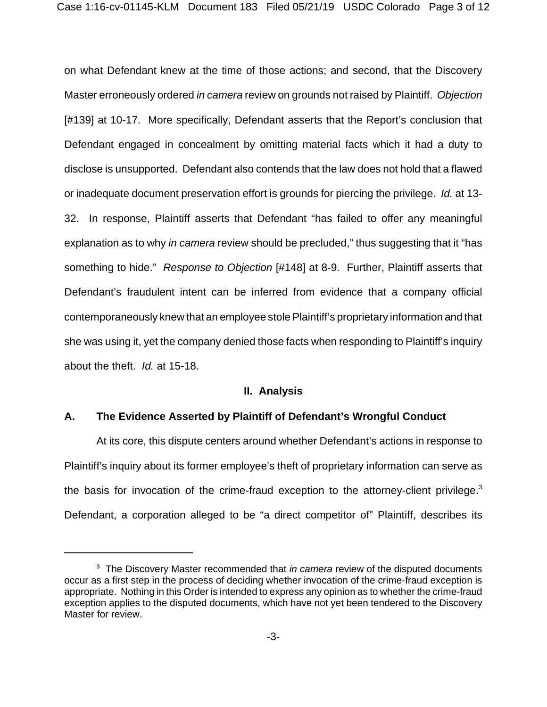on what Defendant knew at the time of those actions; and second, that the Discovery Master erroneously ordered *in camera* review on grounds not raised by Plaintiff. *Objection* [#139] at 10-17. More specifically, Defendant asserts that the Report's conclusion that Defendant engaged in concealment by omitting material facts which it had a duty to disclose is unsupported. Defendant also contends that the law does not hold that a flawed or inadequate document preservation effort is grounds for piercing the privilege. *Id.* at 13- 32. In response, Plaintiff asserts that Defendant "has failed to offer any meaningful explanation as to why *in camera* review should be precluded," thus suggesting that it "has something to hide." *Response to Objection* [#148] at 8-9. Further, Plaintiff asserts that Defendant's fraudulent intent can be inferred from evidence that a company official contemporaneously knew that an employee stole Plaintiff's proprietary information and that she was using it, yet the company denied those facts when responding to Plaintiff's inquiry about the theft. *Id.* at 15-18.

### **II. Analysis**

### **A. The Evidence Asserted by Plaintiff of Defendant's Wrongful Conduct**

At its core, this dispute centers around whether Defendant's actions in response to Plaintiff's inquiry about its former employee's theft of proprietary information can serve as the basis for invocation of the crime-fraud exception to the attorney-client privilege.<sup>3</sup> Defendant, a corporation alleged to be "a direct competitor of" Plaintiff, describes its

<sup>3</sup> The Discovery Master recommended that *in camera* review of the disputed documents occur as a first step in the process of deciding whether invocation of the crime-fraud exception is appropriate. Nothing in this Order is intended to express any opinion as to whether the crime-fraud exception applies to the disputed documents, which have not yet been tendered to the Discovery Master for review.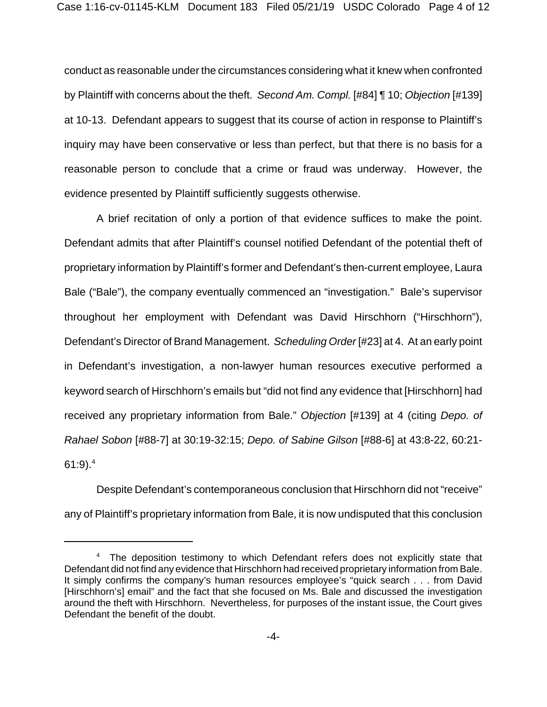conduct as reasonable under the circumstances considering what it knew when confronted by Plaintiff with concerns about the theft. *Second Am. Compl.* [#84] ¶ 10; *Objection* [#139] at 10-13. Defendant appears to suggest that its course of action in response to Plaintiff's inquiry may have been conservative or less than perfect, but that there is no basis for a reasonable person to conclude that a crime or fraud was underway. However, the evidence presented by Plaintiff sufficiently suggests otherwise.

A brief recitation of only a portion of that evidence suffices to make the point. Defendant admits that after Plaintiff's counsel notified Defendant of the potential theft of proprietary information by Plaintiff's former and Defendant's then-current employee, Laura Bale ("Bale"), the company eventually commenced an "investigation." Bale's supervisor throughout her employment with Defendant was David Hirschhorn ("Hirschhorn"), Defendant's Director of Brand Management. *Scheduling Order* [#23] at 4. At an early point in Defendant's investigation, a non-lawyer human resources executive performed a keyword search of Hirschhorn's emails but "did not find any evidence that [Hirschhorn] had received any proprietary information from Bale." *Objection* [#139] at 4 (citing *Depo. of Rahael Sobon* [#88-7] at 30:19-32:15; *Depo. of Sabine Gilson* [#88-6] at 43:8-22, 60:21- 61:9). $^{4}$ 

Despite Defendant's contemporaneous conclusion that Hirschhorn did not "receive" any of Plaintiff's proprietary information from Bale, it is now undisputed that this conclusion

<sup>&</sup>lt;sup>4</sup> The deposition testimony to which Defendant refers does not explicitly state that Defendant did not find any evidence that Hirschhorn had received proprietary information from Bale. It simply confirms the company's human resources employee's "quick search . . . from David [Hirschhorn's] email" and the fact that she focused on Ms. Bale and discussed the investigation around the theft with Hirschhorn. Nevertheless, for purposes of the instant issue, the Court gives Defendant the benefit of the doubt.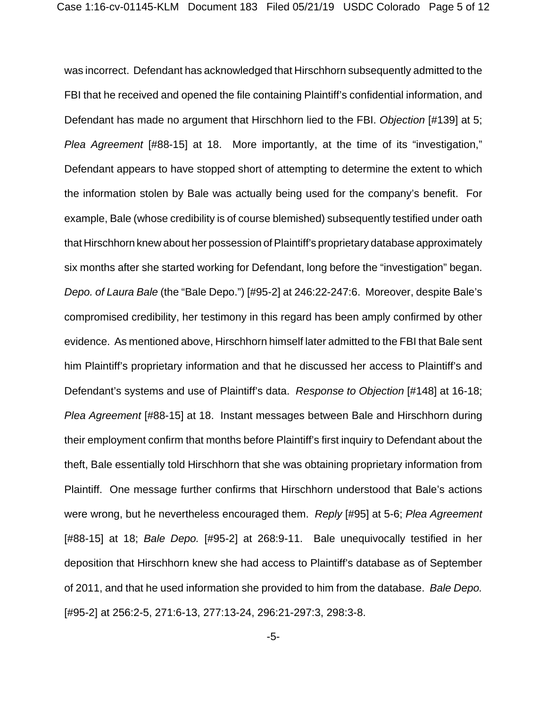was incorrect. Defendant has acknowledged that Hirschhorn subsequently admitted to the FBI that he received and opened the file containing Plaintiff's confidential information, and Defendant has made no argument that Hirschhorn lied to the FBI. *Objection* [#139] at 5; *Plea Agreement* [#88-15] at 18. More importantly, at the time of its "investigation," Defendant appears to have stopped short of attempting to determine the extent to which the information stolen by Bale was actually being used for the company's benefit. For example, Bale (whose credibility is of course blemished) subsequently testified under oath that Hirschhorn knew about her possession of Plaintiff's proprietary database approximately six months after she started working for Defendant, long before the "investigation" began. *Depo. of Laura Bale* (the "Bale Depo.") [#95-2] at 246:22-247:6. Moreover, despite Bale's compromised credibility, her testimony in this regard has been amply confirmed by other evidence. As mentioned above, Hirschhorn himself later admitted to the FBI that Bale sent him Plaintiff's proprietary information and that he discussed her access to Plaintiff's and Defendant's systems and use of Plaintiff's data. *Response to Objection* [#148] at 16-18; *Plea Agreement* [#88-15] at 18. Instant messages between Bale and Hirschhorn during their employment confirm that months before Plaintiff's first inquiry to Defendant about the theft, Bale essentially told Hirschhorn that she was obtaining proprietary information from Plaintiff. One message further confirms that Hirschhorn understood that Bale's actions were wrong, but he nevertheless encouraged them. *Reply* [#95] at 5-6; *Plea Agreement* [#88-15] at 18; *Bale Depo.* [#95-2] at 268:9-11. Bale unequivocally testified in her deposition that Hirschhorn knew she had access to Plaintiff's database as of September of 2011, and that he used information she provided to him from the database. *Bale Depo.* [#95-2] at 256:2-5, 271:6-13, 277:13-24, 296:21-297:3, 298:3-8.

-5-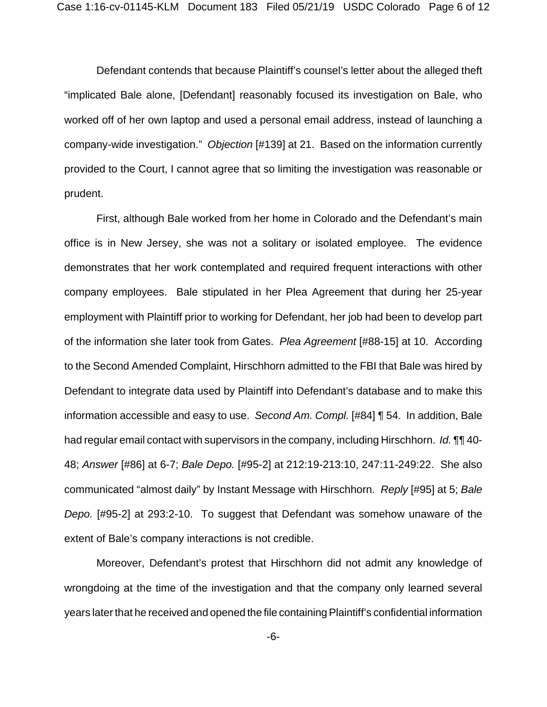Defendant contends that because Plaintiff's counsel's letter about the alleged theft "implicated Bale alone, [Defendant] reasonably focused its investigation on Bale, who worked off of her own laptop and used a personal email address, instead of launching a company-wide investigation." *Objection* [#139] at 21. Based on the information currently provided to the Court, I cannot agree that so limiting the investigation was reasonable or prudent.

First, although Bale worked from her home in Colorado and the Defendant's main office is in New Jersey, she was not a solitary or isolated employee. The evidence demonstrates that her work contemplated and required frequent interactions with other company employees. Bale stipulated in her Plea Agreement that during her 25-year employment with Plaintiff prior to working for Defendant, her job had been to develop part of the information she later took from Gates. *Plea Agreement* [#88-15] at 10. According to the Second Amended Complaint, Hirschhorn admitted to the FBI that Bale was hired by Defendant to integrate data used by Plaintiff into Defendant's database and to make this information accessible and easy to use. *Second Am. Compl.* [#84] ¶ 54. In addition, Bale had regular email contact with supervisors in the company, including Hirschhorn. *Id.* ¶¶ 40- 48; *Answer* [#86] at 6-7; *Bale Depo.* [#95-2] at 212:19-213:10, 247:11-249:22. She also communicated "almost daily" by Instant Message with Hirschhorn. *Reply* [#95] at 5; *Bale Depo.* [#95-2] at 293:2-10. To suggest that Defendant was somehow unaware of the extent of Bale's company interactions is not credible.

Moreover, Defendant's protest that Hirschhorn did not admit any knowledge of wrongdoing at the time of the investigation and that the company only learned several years later that he received and opened the file containing Plaintiff's confidential information

-6-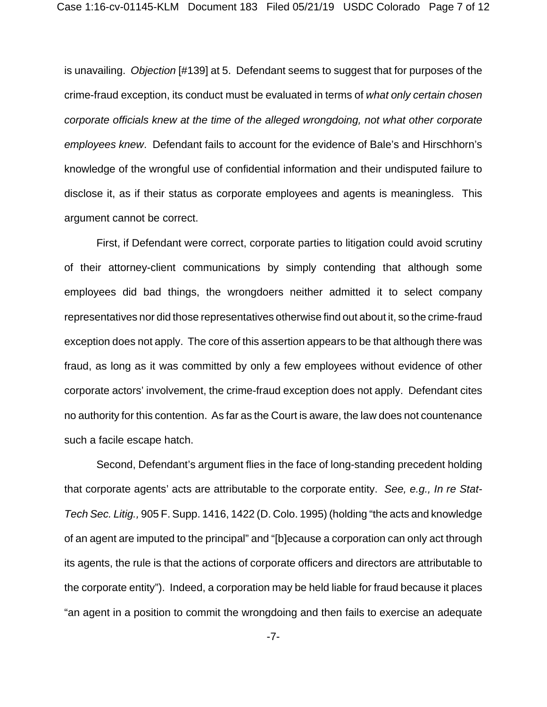is unavailing. *Objection* [#139] at 5. Defendant seems to suggest that for purposes of the crime-fraud exception, its conduct must be evaluated in terms of *what only certain chosen corporate officials knew at the time of the alleged wrongdoing, not what other corporate employees knew*. Defendant fails to account for the evidence of Bale's and Hirschhorn's knowledge of the wrongful use of confidential information and their undisputed failure to disclose it, as if their status as corporate employees and agents is meaningless. This argument cannot be correct.

First, if Defendant were correct, corporate parties to litigation could avoid scrutiny of their attorney-client communications by simply contending that although some employees did bad things, the wrongdoers neither admitted it to select company representatives nor did those representatives otherwise find out about it, so the crime-fraud exception does not apply. The core of this assertion appears to be that although there was fraud, as long as it was committed by only a few employees without evidence of other corporate actors' involvement, the crime-fraud exception does not apply. Defendant cites no authority for this contention. As far as the Court is aware, the law does not countenance such a facile escape hatch.

Second, Defendant's argument flies in the face of long-standing precedent holding that corporate agents' acts are attributable to the corporate entity. *See, e.g., In re Stat-Tech Sec. Litig.,* 905 F. Supp. 1416, 1422 (D. Colo. 1995) (holding "the acts and knowledge of an agent are imputed to the principal" and "[b]ecause a corporation can only act through its agents, the rule is that the actions of corporate officers and directors are attributable to the corporate entity"). Indeed, a corporation may be held liable for fraud because it places "an agent in a position to commit the wrongdoing and then fails to exercise an adequate

-7-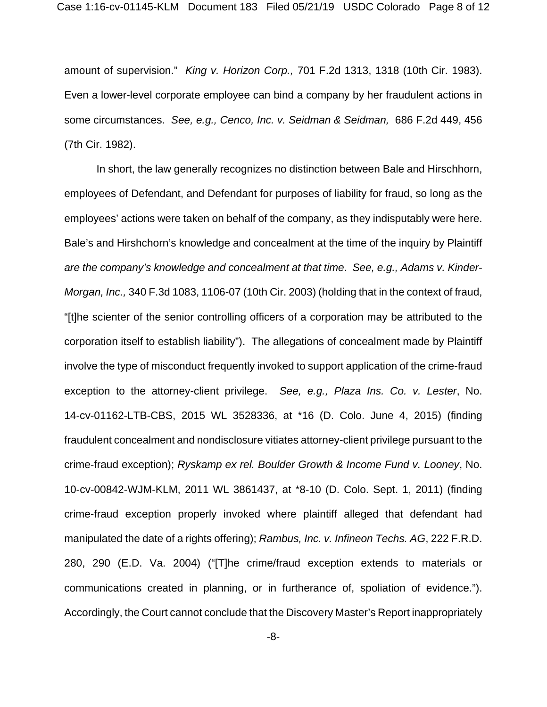amount of supervision." *King v. Horizon Corp.,* 701 F.2d 1313, 1318 (10th Cir. 1983). Even a lower-level corporate employee can bind a company by her fraudulent actions in some circumstances. *See, e.g., Cenco, Inc. v. Seidman & Seidman,* 686 F.2d 449, 456 (7th Cir. 1982).

In short, the law generally recognizes no distinction between Bale and Hirschhorn, employees of Defendant, and Defendant for purposes of liability for fraud, so long as the employees' actions were taken on behalf of the company, as they indisputably were here. Bale's and Hirshchorn's knowledge and concealment at the time of the inquiry by Plaintiff *are the company's knowledge and concealment at that time*. *See, e.g., Adams v. Kinder-Morgan, Inc.,* 340 F.3d 1083, 1106-07 (10th Cir. 2003) (holding that in the context of fraud, "[t]he scienter of the senior controlling officers of a corporation may be attributed to the corporation itself to establish liability"). The allegations of concealment made by Plaintiff involve the type of misconduct frequently invoked to support application of the crime-fraud exception to the attorney-client privilege. *See, e.g., Plaza Ins. Co. v. Lester*, No. 14-cv-01162-LTB-CBS, 2015 WL 3528336, at \*16 (D. Colo. June 4, 2015) (finding fraudulent concealment and nondisclosure vitiates attorney-client privilege pursuant to the crime-fraud exception); *Ryskamp ex rel. Boulder Growth & Income Fund v. Looney*, No. 10-cv-00842-WJM-KLM, 2011 WL 3861437, at \*8-10 (D. Colo. Sept. 1, 2011) (finding crime-fraud exception properly invoked where plaintiff alleged that defendant had manipulated the date of a rights offering); *Rambus, Inc. v. Infineon Techs. AG*, 222 F.R.D. 280, 290 (E.D. Va. 2004) ("[T]he crime/fraud exception extends to materials or communications created in planning, or in furtherance of, spoliation of evidence."). Accordingly, the Court cannot conclude that the Discovery Master's Report inappropriately

-8-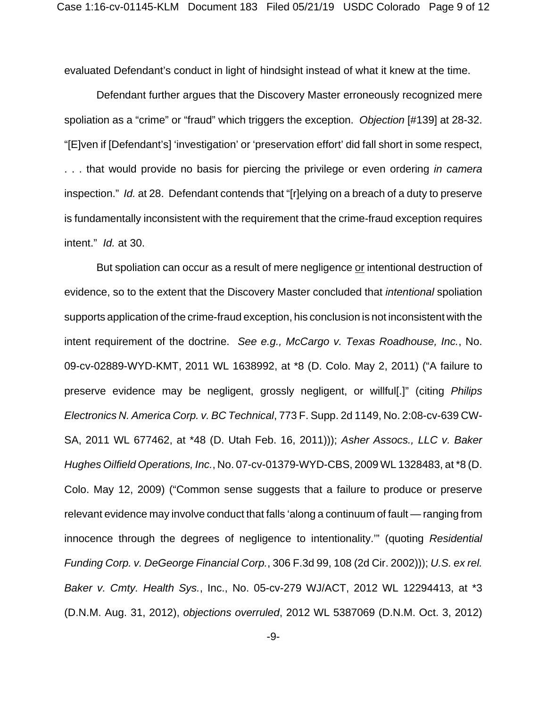evaluated Defendant's conduct in light of hindsight instead of what it knew at the time.

Defendant further argues that the Discovery Master erroneously recognized mere spoliation as a "crime" or "fraud" which triggers the exception. *Objection* [#139] at 28-32. "[E]ven if [Defendant's] 'investigation' or 'preservation effort' did fall short in some respect, . . . that would provide no basis for piercing the privilege or even ordering *in camera* inspection." *Id.* at 28. Defendant contends that "[r]elying on a breach of a duty to preserve is fundamentally inconsistent with the requirement that the crime-fraud exception requires intent." *Id.* at 30.

But spoliation can occur as a result of mere negligence or intentional destruction of evidence, so to the extent that the Discovery Master concluded that *intentional* spoliation supports application of the crime-fraud exception, his conclusion is not inconsistent with the intent requirement of the doctrine. *See e.g., McCargo v. Texas Roadhouse, Inc.*, No. 09-cv-02889-WYD-KMT, 2011 WL 1638992, at \*8 (D. Colo. May 2, 2011) ("A failure to preserve evidence may be negligent, grossly negligent, or willful[.]" (citing *Philips Electronics N. America Corp. v. BC Technical*, 773 F. Supp. 2d 1149, No. 2:08-cv-639 CW-SA, 2011 WL 677462, at \*48 (D. Utah Feb. 16, 2011))); *Asher Assocs., LLC v. Baker Hughes Oilfield Operations, Inc.*, No. 07-cv-01379-WYD-CBS, 2009 WL 1328483, at \*8 (D. Colo. May 12, 2009) ("Common sense suggests that a failure to produce or preserve relevant evidence may involve conduct that falls 'along a continuum of fault — ranging from innocence through the degrees of negligence to intentionality.'" (quoting *Residential Funding Corp. v. DeGeorge Financial Corp.*, 306 F.3d 99, 108 (2d Cir. 2002))); *U.S. ex rel. Baker v. Cmty. Health Sys.*, Inc., No. 05-cv-279 WJ/ACT, 2012 WL 12294413, at \*3 (D.N.M. Aug. 31, 2012), *objections overruled*, 2012 WL 5387069 (D.N.M. Oct. 3, 2012)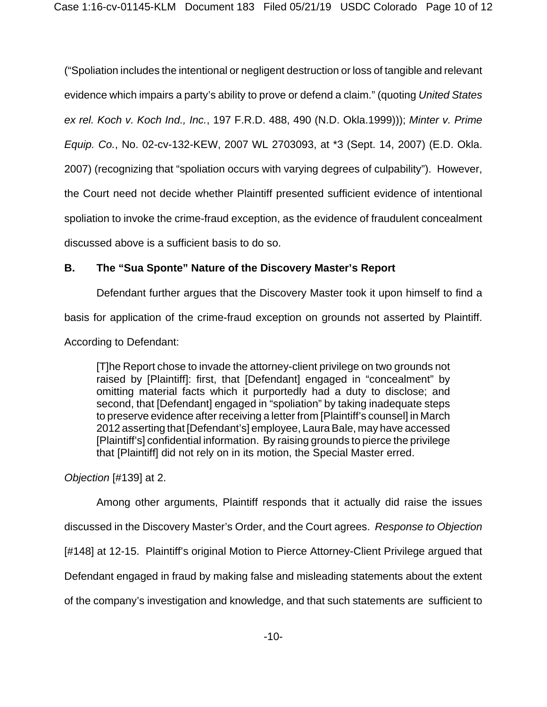("Spoliation includes the intentional or negligent destruction or loss of tangible and relevant evidence which impairs a party's ability to prove or defend a claim." (quoting *United States ex rel. Koch v. Koch Ind., Inc.*, 197 F.R.D. 488, 490 (N.D. Okla.1999))); *Minter v. Prime Equip. Co.*, No. 02-cv-132-KEW, 2007 WL 2703093, at \*3 (Sept. 14, 2007) (E.D. Okla. 2007) (recognizing that "spoliation occurs with varying degrees of culpability"). However, the Court need not decide whether Plaintiff presented sufficient evidence of intentional spoliation to invoke the crime-fraud exception, as the evidence of fraudulent concealment discussed above is a sufficient basis to do so.

# **B. The "Sua Sponte" Nature of the Discovery Master's Report**

Defendant further argues that the Discovery Master took it upon himself to find a basis for application of the crime-fraud exception on grounds not asserted by Plaintiff. According to Defendant:

[T]he Report chose to invade the attorney-client privilege on two grounds not raised by [Plaintiff]: first, that [Defendant] engaged in "concealment" by omitting material facts which it purportedly had a duty to disclose; and second, that [Defendant] engaged in "spoliation" by taking inadequate steps to preserve evidence after receiving a letter from [Plaintiff's counsel] in March 2012 asserting that [Defendant's] employee, Laura Bale, may have accessed [Plaintiff's] confidential information. By raising grounds to pierce the privilege that [Plaintiff] did not rely on in its motion, the Special Master erred.

*Objection* [#139] at 2.

Among other arguments, Plaintiff responds that it actually did raise the issues discussed in the Discovery Master's Order, and the Court agrees. *Response to Objection* [#148] at 12-15. Plaintiff's original Motion to Pierce Attorney-Client Privilege argued that Defendant engaged in fraud by making false and misleading statements about the extent of the company's investigation and knowledge, and that such statements are sufficient to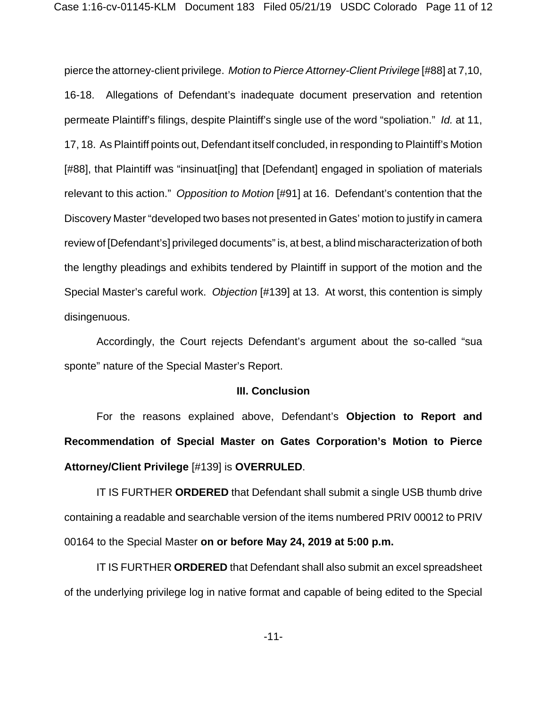pierce the attorney-client privilege. *Motion to Pierce Attorney-Client Privilege* [#88] at 7,10, 16-18. Allegations of Defendant's inadequate document preservation and retention permeate Plaintiff's filings, despite Plaintiff's single use of the word "spoliation." *Id.* at 11, 17, 18. As Plaintiff points out, Defendant itself concluded, in responding to Plaintiff's Motion [#88], that Plaintiff was "insinuat[ing] that [Defendant] engaged in spoliation of materials relevant to this action." *Opposition to Motion* [#91] at 16. Defendant's contention that the Discovery Master "developed two bases not presented in Gates' motion to justify in camera review of [Defendant's] privileged documents" is, at best, a blind mischaracterization of both the lengthy pleadings and exhibits tendered by Plaintiff in support of the motion and the Special Master's careful work. *Objection* [#139] at 13. At worst, this contention is simply disingenuous.

Accordingly, the Court rejects Defendant's argument about the so-called "sua sponte" nature of the Special Master's Report.

#### **III. Conclusion**

For the reasons explained above, Defendant's **Objection to Report and Recommendation of Special Master on Gates Corporation's Motion to Pierce Attorney/Client Privilege** [#139] is **OVERRULED**.

IT IS FURTHER **ORDERED** that Defendant shall submit a single USB thumb drive containing a readable and searchable version of the items numbered PRIV 00012 to PRIV 00164 to the Special Master **on or before May 24, 2019 at 5:00 p.m.**

IT IS FURTHER **ORDERED** that Defendant shall also submit an excel spreadsheet of the underlying privilege log in native format and capable of being edited to the Special

-11-